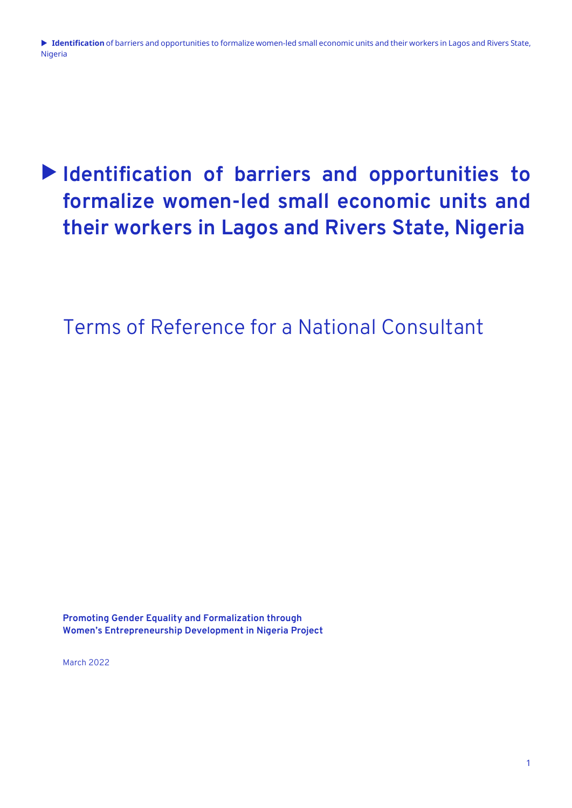# **Identification of barriers and opportunities to formalize women-led small economic units and their workers in Lagos and Rivers State, Nigeria**

Terms of Reference for a National Consultant

**Promoting Gender Equality and Formalization through Women's Entrepreneurship Development in Nigeria Project**

March 2022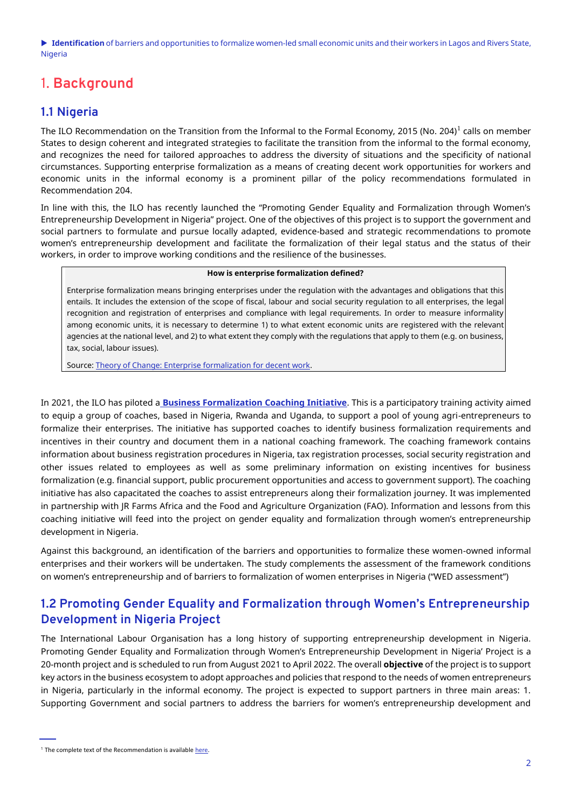# 1. **Background**

#### **1.1 Nigeria**

The ILO Recommendation on the Transition from the Informal to the Formal Economy, 2015 (No. 204) $^{\rm l}$  calls on member States to design coherent and integrated strategies to facilitate the transition from the informal to the formal economy, and recognizes the need for tailored approaches to address the diversity of situations and the specificity of national circumstances. Supporting enterprise formalization as a means of creating decent work opportunities for workers and economic units in the informal economy is a prominent pillar of the policy recommendations formulated in Recommendation 204.

In line with this, the ILO has recently launched the "Promoting Gender Equality and Formalization through Women's Entrepreneurship Development in Nigeria" project. One of the objectives of this project is to support the government and social partners to formulate and pursue locally adapted, evidence-based and strategic recommendations to promote women's entrepreneurship development and facilitate the formalization of their legal status and the status of their workers, in order to improve working conditions and the resilience of the businesses.

#### **How is enterprise formalization defined?**

Enterprise formalization means bringing enterprises under the regulation with the advantages and obligations that this entails. It includes the extension of the scope of fiscal, labour and social security regulation to all enterprises, the legal recognition and registration of enterprises and compliance with legal requirements. In order to measure informality among economic units, it is necessary to determine 1) to what extent economic units are registered with the relevant agencies at the national level, and 2) to what extent they comply with the regulations that apply to them (e.g. on business, tax, social, labour issues).

Source[: Theory of Change: Enterprise formalization for decent work.](https://www.ilo.org/empent/Publications/WCMS_820591/lang--en/index.htm)

In 2021, the ILO has piloted a **[Business Formalization Coaching Initiative](https://www.ilo.org/empent/areas/ef/WCMS_828314/lang--en/index.htm)**. This is a participatory training activity aimed to equip a group of coaches, based in Nigeria, Rwanda and Uganda, to support a pool of young agri-entrepreneurs to formalize their enterprises. The initiative has supported coaches to identify business formalization requirements and incentives in their country and document them in a national coaching framework. The coaching framework contains information about business registration procedures in Nigeria, tax registration processes, social security registration and other issues related to employees as well as some preliminary information on existing incentives for business formalization (e.g. financial support, public procurement opportunities and access to government support). The coaching initiative has also capacitated the coaches to assist entrepreneurs along their formalization journey. It was implemented in partnership with JR Farms Africa and the Food and Agriculture Organization (FAO). Information and lessons from this coaching initiative will feed into the project on gender equality and formalization through women's entrepreneurship development in Nigeria.

Against this background, an identification of the barriers and opportunities to formalize these women-owned informal enterprises and their workers will be undertaken. The study complements the assessment of the framework conditions on women's entrepreneurship and of barriers to formalization of women enterprises in Nigeria ("WED assessment")

#### **1.2 Promoting Gender Equality and Formalization through Women's Entrepreneurship Development in Nigeria Project**

The International Labour Organisation has a long history of supporting entrepreneurship development in Nigeria. Promoting Gender Equality and Formalization through Women's Entrepreneurship Development in Nigeria' Project is a 20-month project and is scheduled to run from August 2021 to April 2022. The overall **objective** of the project is to support key actors in the business ecosystem to adopt approaches and policies that respond to the needs of women entrepreneurs in Nigeria, particularly in the informal economy. The project is expected to support partners in three main areas: 1. Supporting Government and social partners to address the barriers for women's entrepreneurship development and

 $1$  The complete text of the Recommendation is available here.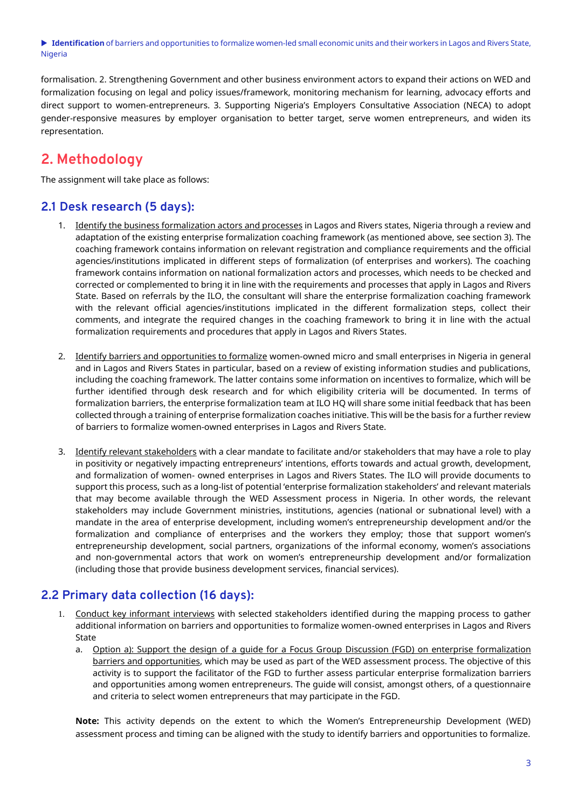formalisation. 2. Strengthening Government and other business environment actors to expand their actions on WED and formalization focusing on legal and policy issues/framework, monitoring mechanism for learning, advocacy efforts and direct support to women-entrepreneurs. 3. Supporting Nigeria's Employers Consultative Association (NECA) to adopt gender-responsive measures by employer organisation to better target, serve women entrepreneurs, and widen its representation.

# **2. Methodology**

The assignment will take place as follows:

#### **2.1 Desk research (5 days):**

- 1. Identify the business formalization actors and processes in Lagos and Rivers states, Nigeria through a review and adaptation of the existing enterprise formalization coaching framework (as mentioned above, see section 3). The coaching framework contains information on relevant registration and compliance requirements and the official agencies/institutions implicated in different steps of formalization (of enterprises and workers). The coaching framework contains information on national formalization actors and processes, which needs to be checked and corrected or complemented to bring it in line with the requirements and processes that apply in Lagos and Rivers State. Based on referrals by the ILO, the consultant will share the enterprise formalization coaching framework with the relevant official agencies/institutions implicated in the different formalization steps, collect their comments, and integrate the required changes in the coaching framework to bring it in line with the actual formalization requirements and procedures that apply in Lagos and Rivers States.
- 2. Identify barriers and opportunities to formalize women-owned micro and small enterprises in Nigeria in general and in Lagos and Rivers States in particular, based on a review of existing information studies and publications, including the coaching framework. The latter contains some information on incentives to formalize, which will be further identified through desk research and for which eligibility criteria will be documented. In terms of formalization barriers, the enterprise formalization team at ILO HQ will share some initial feedback that has been collected through a training of enterprise formalization coaches initiative. This will be the basis for a further review of barriers to formalize women-owned enterprises in Lagos and Rivers State.
- 3. Identify relevant stakeholders with a clear mandate to facilitate and/or stakeholders that may have a role to play in positivity or negatively impacting entrepreneurs' intentions, efforts towards and actual growth, development, and formalization of women- owned enterprises in Lagos and Rivers States. The ILO will provide documents to support this process, such as a long-list of potential 'enterprise formalization stakeholders' and relevant materials that may become available through the WED Assessment process in Nigeria. In other words, the relevant stakeholders may include Government ministries, institutions, agencies (national or subnational level) with a mandate in the area of enterprise development, including women's entrepreneurship development and/or the formalization and compliance of enterprises and the workers they employ; those that support women's entrepreneurship development, social partners, organizations of the informal economy, women's associations and non-governmental actors that work on women's entrepreneurship development and/or formalization (including those that provide business development services, financial services).

#### **2.2 Primary data collection (16 days):**

- 1. Conduct key informant interviews with selected stakeholders identified during the mapping process to gather additional information on barriers and opportunities to formalize women-owned enterprises in Lagos and Rivers State
	- a. Option a): Support the design of a guide for a Focus Group Discussion (FGD) on enterprise formalization barriers and opportunities, which may be used as part of the WED assessment process. The objective of this activity is to support the facilitator of the FGD to further assess particular enterprise formalization barriers and opportunities among women entrepreneurs. The guide will consist, amongst others, of a questionnaire and criteria to select women entrepreneurs that may participate in the FGD.

**Note:** This activity depends on the extent to which the Women's Entrepreneurship Development (WED) assessment process and timing can be aligned with the study to identify barriers and opportunities to formalize.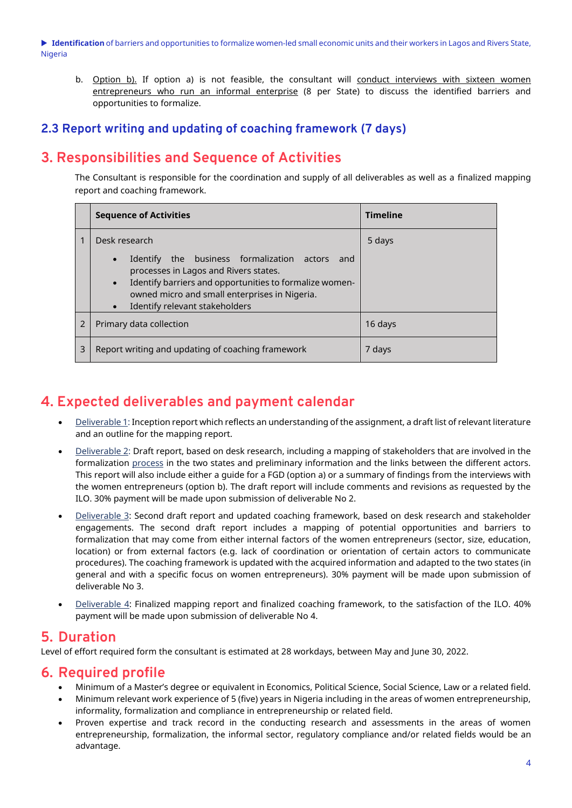b. Option b). If option a) is not feasible, the consultant will conduct interviews with sixteen women entrepreneurs who run an informal enterprise (8 per State) to discuss the identified barriers and opportunities to formalize.

#### **2.3 Report writing and updating of coaching framework (7 days)**

# **3. Responsibilities and Sequence of Activities**

The Consultant is responsible for the coordination and supply of all deliverables as well as a finalized mapping report and coaching framework.

| <b>Sequence of Activities</b>                                                                                                                                                                                                                                                                    | <b>Timeline</b> |
|--------------------------------------------------------------------------------------------------------------------------------------------------------------------------------------------------------------------------------------------------------------------------------------------------|-----------------|
| Desk research<br>Identify the business formalization actors<br>and<br>$\bullet$<br>processes in Lagos and Rivers states.<br>Identify barriers and opportunities to formalize women-<br>$\bullet$<br>owned micro and small enterprises in Nigeria.<br>Identify relevant stakeholders<br>$\bullet$ | 5 days          |
| Primary data collection                                                                                                                                                                                                                                                                          | 16 days         |
| Report writing and updating of coaching framework                                                                                                                                                                                                                                                | 7 days          |

# **4. Expected deliverables and payment calendar**

- Deliverable 1: Inception report which reflects an understanding of the assignment, a draft list of relevant literature and an outline for the mapping report.
- Deliverable 2: Draft report, based on desk research, including a mapping of stakeholders that are involved in the formalization process in the two states and preliminary information and the links between the different actors. This report will also include either a guide for a FGD (option a) or a summary of findings from the interviews with the women entrepreneurs (option b). The draft report will include comments and revisions as requested by the ILO. 30% payment will be made upon submission of deliverable No 2.
- Deliverable 3: Second draft report and updated coaching framework, based on desk research and stakeholder engagements. The second draft report includes a mapping of potential opportunities and barriers to formalization that may come from either internal factors of the women entrepreneurs (sector, size, education, location) or from external factors (e.g. lack of coordination or orientation of certain actors to communicate procedures). The coaching framework is updated with the acquired information and adapted to the two states (in general and with a specific focus on women entrepreneurs). 30% payment will be made upon submission of deliverable No 3.
- Deliverable 4: Finalized mapping report and finalized coaching framework, to the satisfaction of the ILO. 40% payment will be made upon submission of deliverable No 4.

### **5. Duration**

Level of effort required form the consultant is estimated at 28 workdays, between May and June 30, 2022.

### **6. Required profile**

- Minimum of a Master's degree or equivalent in Economics, Political Science, Social Science, Law or a related field.
- Minimum relevant work experience of 5 (five) years in Nigeria including in the areas of women entrepreneurship, informality, formalization and compliance in entrepreneurship or related field.
- Proven expertise and track record in the conducting research and assessments in the areas of women entrepreneurship, formalization, the informal sector, regulatory compliance and/or related fields would be an advantage.